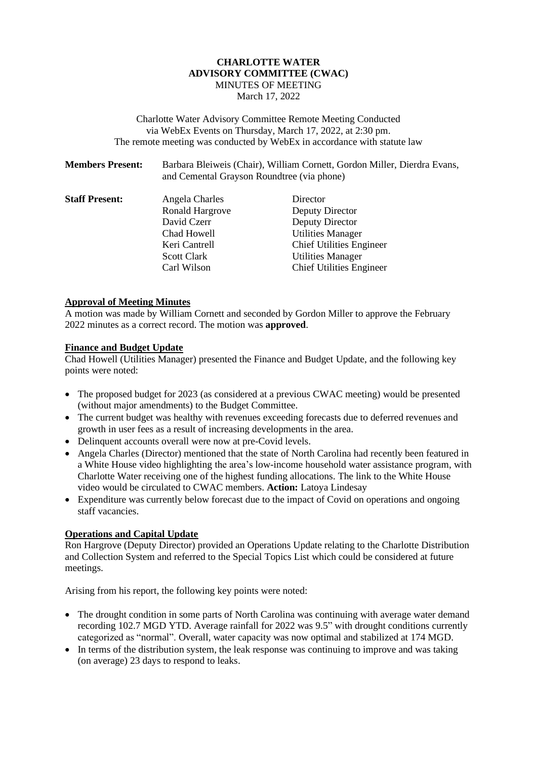## **CHARLOTTE WATER ADVISORY COMMITTEE (CWAC)** MINUTES OF MEETING March 17, 2022

Charlotte Water Advisory Committee Remote Meeting Conducted via WebEx Events on Thursday, March 17, 2022, at 2:30 pm. The remote meeting was conducted by WebEx in accordance with statute law

| <b>Members Present:</b> | Barbara Bleiweis (Chair), William Cornett, Gordon Miller, Dierdra Evans, |
|-------------------------|--------------------------------------------------------------------------|
|                         | and Cemental Grayson Roundtree (via phone)                               |

| Angela Charles         | Director                        |
|------------------------|---------------------------------|
| <b>Ronald Hargrove</b> | Deputy Director                 |
| David Czerr            | Deputy Director                 |
| Chad Howell            | <b>Utilities Manager</b>        |
| Keri Cantrell          | <b>Chief Utilities Engineer</b> |
| <b>Scott Clark</b>     | <b>Utilities Manager</b>        |
| Carl Wilson            | <b>Chief Utilities Engineer</b> |
|                        |                                 |

## **Approval of Meeting Minutes**

A motion was made by William Cornett and seconded by Gordon Miller to approve the February 2022 minutes as a correct record. The motion was **approved**.

#### **Finance and Budget Update**

Chad Howell (Utilities Manager) presented the Finance and Budget Update, and the following key points were noted:

- The proposed budget for 2023 (as considered at a previous CWAC meeting) would be presented (without major amendments) to the Budget Committee.
- The current budget was healthy with revenues exceeding forecasts due to deferred revenues and growth in user fees as a result of increasing developments in the area.
- Delinquent accounts overall were now at pre-Covid levels.
- Angela Charles (Director) mentioned that the state of North Carolina had recently been featured in a White House video highlighting the area's low-income household water assistance program, with Charlotte Water receiving one of the highest funding allocations. The link to the White House video would be circulated to CWAC members. **Action:** Latoya Lindesay
- Expenditure was currently below forecast due to the impact of Covid on operations and ongoing staff vacancies.

### **Operations and Capital Update**

Ron Hargrove (Deputy Director) provided an Operations Update relating to the Charlotte Distribution and Collection System and referred to the Special Topics List which could be considered at future meetings.

Arising from his report, the following key points were noted:

- The drought condition in some parts of North Carolina was continuing with average water demand recording 102.7 MGD YTD. Average rainfall for 2022 was 9.5" with drought conditions currently categorized as "normal". Overall, water capacity was now optimal and stabilized at 174 MGD.
- In terms of the distribution system, the leak response was continuing to improve and was taking (on average) 23 days to respond to leaks.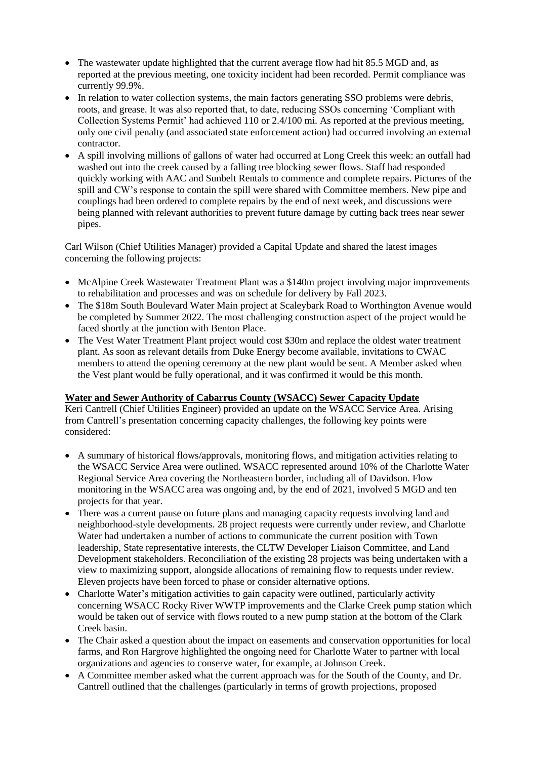- The wastewater update highlighted that the current average flow had hit 85.5 MGD and, as reported at the previous meeting, one toxicity incident had been recorded. Permit compliance was currently 99.9%.
- In relation to water collection systems, the main factors generating SSO problems were debris, roots, and grease. It was also reported that, to date, reducing SSOs concerning 'Compliant with Collection Systems Permit' had achieved 110 or 2.4/100 mi. As reported at the previous meeting, only one civil penalty (and associated state enforcement action) had occurred involving an external contractor.
- A spill involving millions of gallons of water had occurred at Long Creek this week: an outfall had washed out into the creek caused by a falling tree blocking sewer flows. Staff had responded quickly working with AAC and Sunbelt Rentals to commence and complete repairs. Pictures of the spill and CW's response to contain the spill were shared with Committee members. New pipe and couplings had been ordered to complete repairs by the end of next week, and discussions were being planned with relevant authorities to prevent future damage by cutting back trees near sewer pipes.

Carl Wilson (Chief Utilities Manager) provided a Capital Update and shared the latest images concerning the following projects:

- McAlpine Creek Wastewater Treatment Plant was a \$140m project involving major improvements to rehabilitation and processes and was on schedule for delivery by Fall 2023.
- The \$18m South Boulevard Water Main project at Scaleybark Road to Worthington Avenue would be completed by Summer 2022. The most challenging construction aspect of the project would be faced shortly at the junction with Benton Place.
- The Vest Water Treatment Plant project would cost \$30m and replace the oldest water treatment plant. As soon as relevant details from Duke Energy become available, invitations to CWAC members to attend the opening ceremony at the new plant would be sent. A Member asked when the Vest plant would be fully operational, and it was confirmed it would be this month.

# **Water and Sewer Authority of Cabarrus County (WSACC) Sewer Capacity Update**

Keri Cantrell (Chief Utilities Engineer) provided an update on the WSACC Service Area. Arising from Cantrell's presentation concerning capacity challenges, the following key points were considered:

- A summary of historical flows/approvals, monitoring flows, and mitigation activities relating to the WSACC Service Area were outlined. WSACC represented around 10% of the Charlotte Water Regional Service Area covering the Northeastern border, including all of Davidson. Flow monitoring in the WSACC area was ongoing and, by the end of 2021, involved 5 MGD and ten projects for that year.
- There was a current pause on future plans and managing capacity requests involving land and neighborhood-style developments. 28 project requests were currently under review, and Charlotte Water had undertaken a number of actions to communicate the current position with Town leadership, State representative interests, the CLTW Developer Liaison Committee, and Land Development stakeholders. Reconciliation of the existing 28 projects was being undertaken with a view to maximizing support, alongside allocations of remaining flow to requests under review. Eleven projects have been forced to phase or consider alternative options.
- Charlotte Water's mitigation activities to gain capacity were outlined, particularly activity concerning WSACC Rocky River WWTP improvements and the Clarke Creek pump station which would be taken out of service with flows routed to a new pump station at the bottom of the Clark Creek basin.
- The Chair asked a question about the impact on easements and conservation opportunities for local farms, and Ron Hargrove highlighted the ongoing need for Charlotte Water to partner with local organizations and agencies to conserve water, for example, at Johnson Creek.
- A Committee member asked what the current approach was for the South of the County, and Dr. Cantrell outlined that the challenges (particularly in terms of growth projections, proposed